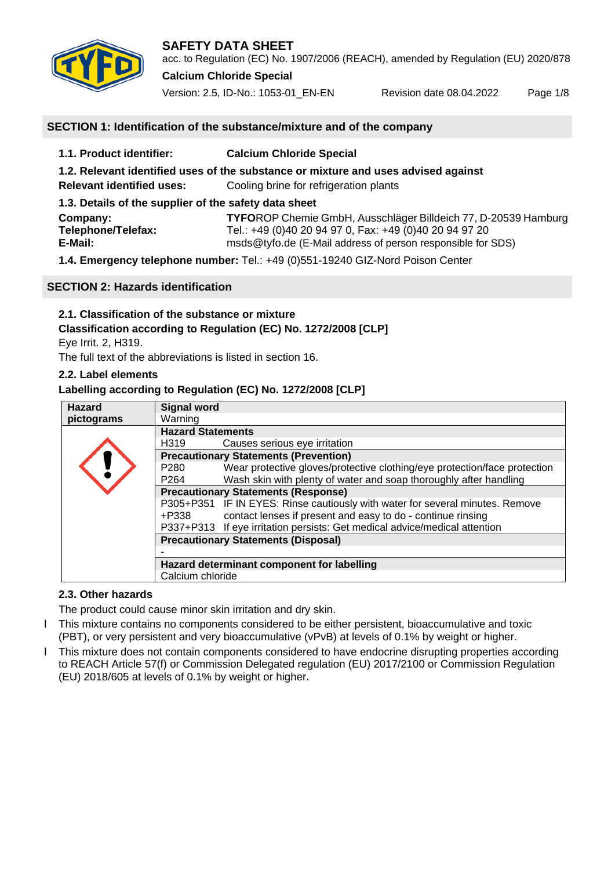

acc. to Regulation (EC) No. 1907/2006 (REACH), amended by Regulation (EU) 2020/878 **Calcium Chloride Special**

Version: 2.5, ID-No.: 1053-01\_EN-EN Revision date 08.04.2022 Page 1/8

# **SECTION 1: Identification of the substance/mixture and of the company**

| 1.1. Product identifier:                                                           | <b>Calcium Chloride Special</b>                                |  |
|------------------------------------------------------------------------------------|----------------------------------------------------------------|--|
| 1.2. Relevant identified uses of the substance or mixture and uses advised against |                                                                |  |
| <b>Relevant identified uses:</b>                                                   | Cooling brine for refrigeration plants                         |  |
| 1.3. Details of the supplier of the safety data sheet                              |                                                                |  |
| Company:                                                                           | TYFOROP Chemie GmbH, Ausschläger Billdeich 77, D-20539 Hamburg |  |
| Telephone/Telefax:                                                                 | Tel.: +49 (0)40 20 94 97 0, Fax: +49 (0)40 20 94 97 20         |  |
| E-Mail:                                                                            | msds@tyfo.de (E-Mail address of person responsible for SDS)    |  |
| 1.4 Emergency telephone number: Tel : +49 (0)551-19240 GIZ-Nord Poison Center      |                                                                |  |

**1.4. Emergency telephone number:** Tel.: +49 (0)551-19240 GIZ-Nord Poison Center

# **SECTION 2: Hazards identification**

# **2.1. Classification of the substance or mixture**

# **Classification according to Regulation (EC) No. 1272/2008 [CLP]**

Eye Irrit. 2, H319.

The full text of the abbreviations is listed in section 16.

# **2.2. Label elements**

# **Labelling according to Regulation (EC) No. 1272/2008 [CLP]**

| <b>Hazard</b> | <b>Signal word</b>                                                            |                                                                            |  |
|---------------|-------------------------------------------------------------------------------|----------------------------------------------------------------------------|--|
| pictograms    | Warning                                                                       |                                                                            |  |
|               | <b>Hazard Statements</b>                                                      |                                                                            |  |
|               | H319                                                                          | Causes serious eye irritation                                              |  |
|               | <b>Precautionary Statements (Prevention)</b>                                  |                                                                            |  |
|               | P <sub>280</sub>                                                              | Wear protective gloves/protective clothing/eye protection/face protection  |  |
|               | P <sub>264</sub>                                                              | Wash skin with plenty of water and soap thoroughly after handling          |  |
|               | <b>Precautionary Statements (Response)</b>                                    |                                                                            |  |
|               | P305+P351 IF IN EYES: Rinse cautiously with water for several minutes. Remove |                                                                            |  |
|               | +P338                                                                         | contact lenses if present and easy to do - continue rinsing                |  |
|               |                                                                               | P337+P313 If eye irritation persists: Get medical advice/medical attention |  |
|               | <b>Precautionary Statements (Disposal)</b>                                    |                                                                            |  |
|               |                                                                               |                                                                            |  |
|               | Hazard determinant component for labelling                                    |                                                                            |  |
|               | Calcium chloride                                                              |                                                                            |  |

# **2.3. Other hazards**

The product could cause minor skin irritation and dry skin.

- I This mixture contains no components considered to be either persistent, bioaccumulative and toxic (PBT), or very persistent and very bioaccumulative (vPvB) at levels of 0.1% by weight or higher.
- Ӏ This mixture does not contain components considered to have endocrine disrupting properties according to REACH Article 57(f) or Commission Delegated regulation (EU) 2017/2100 or Commission Regulation (EU) 2018/605 at levels of 0.1% by weight or higher.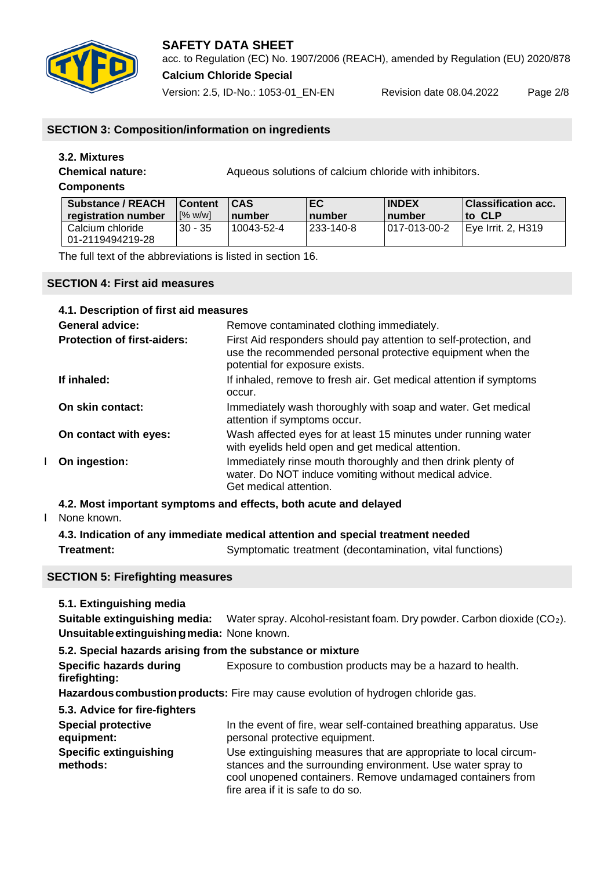

# **SAFETY DATA SHEET** acc. to Regulation (EC) No. 1907/2006 (REACH), amended by Regulation (EU) 2020/878

**Calcium Chloride Special**

Version: 2.5, ID-No.: 1053-01\_EN-EN Revision date 08.04.2022 Page 2/8

# **SECTION 3: Composition/information on ingredients**

# **3.2. Mixtures**

**Chemical nature:** Aqueous solutions of calcium chloride with inhibitors.

# **Components**

| <b>Substance / REACH</b>             | <b>Content</b>   | ICAS       | EC                   | <b>INDEX</b>    | Classification acc. |
|--------------------------------------|------------------|------------|----------------------|-----------------|---------------------|
| registration number                  | $N_{\rm o}$ w/wl | number     | <b>Inumber</b>       | <u>I</u> number | lto CLP             |
| Calcium chloride<br>01-2119494219-28 | $30 - 35$        | 10043-52-4 | <sup>233-140-8</sup> | 1017-013-00-2   | Eye Irrit. 2, H319  |

The full text of the abbreviations is listed in section 16.

# **SECTION 4: First aid measures**

| 4.1. Description of first aid measures |                                                                                                                                                                   |
|----------------------------------------|-------------------------------------------------------------------------------------------------------------------------------------------------------------------|
| <b>General advice:</b>                 | Remove contaminated clothing immediately.                                                                                                                         |
| <b>Protection of first-aiders:</b>     | First Aid responders should pay attention to self-protection, and<br>use the recommended personal protective equipment when the<br>potential for exposure exists. |
| If inhaled:                            | If inhaled, remove to fresh air. Get medical attention if symptoms<br>occur.                                                                                      |
| On skin contact:                       | Immediately wash thoroughly with soap and water. Get medical<br>attention if symptoms occur.                                                                      |
| On contact with eyes:                  | Wash affected eyes for at least 15 minutes under running water<br>with eyelids held open and get medical attention.                                               |
| On ingestion:                          | Immediately rinse mouth thoroughly and then drink plenty of<br>water. Do NOT induce vomiting without medical advice.<br>Get medical attention.                    |

# **4.2. Most important symptoms and effects, both acute and delayed**

## I None known.

|            | 4.3. Indication of any immediate medical attention and special treatment needed |  |
|------------|---------------------------------------------------------------------------------|--|
| Treatment: | Symptomatic treatment (decontamination, vital functions)                        |  |

# **SECTION 5: Firefighting measures**

## **5.1. Extinguishing media**

**Suitable extinguishing media:** Water spray. Alcohol-resistant foam. Dry powder. Carbon dioxide (CO<sub>2</sub>). **Unsuitableextinguishingmedia:** None known.

## **5.2. Special hazards arising from the substance or mixture**

**Specific hazards during** Exposure to combustion products may be a hazard to health. **firefighting:**

Hazardous combustion products: Fire may cause evolution of hydrogen chloride gas.

# **5.3. Advice for fire-fighters Special protective** In the event of fire, wear self-contained breathing apparatus. Use

| equipment:                                | personal protective equipment.                                                                                                                                                                                                     |
|-------------------------------------------|------------------------------------------------------------------------------------------------------------------------------------------------------------------------------------------------------------------------------------|
| <b>Specific extinguishing</b><br>methods: | Use extinguishing measures that are appropriate to local circum-<br>stances and the surrounding environment. Use water spray to<br>cool unopened containers. Remove undamaged containers from<br>fire area if it is safe to do so. |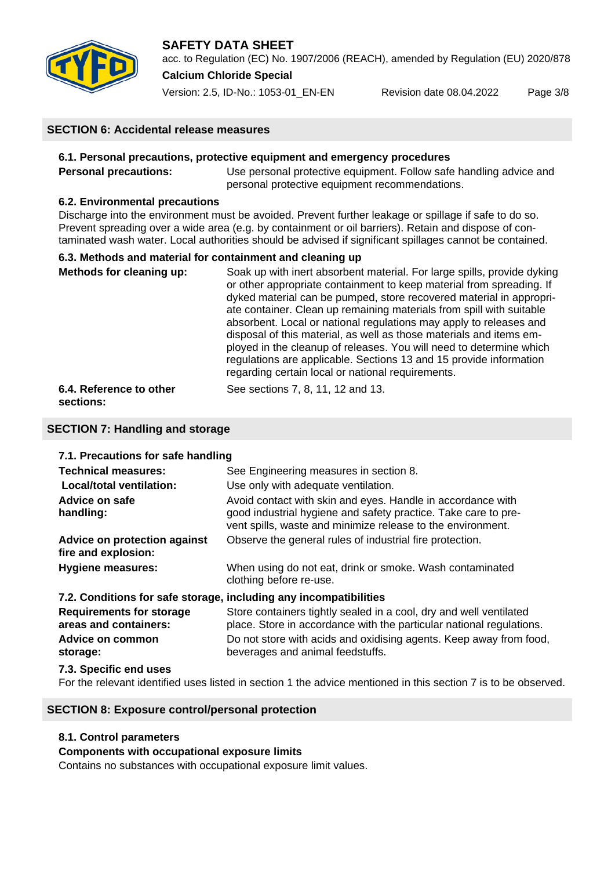

# **SAFETY DATA SHEET** acc. to Regulation (EC) No. 1907/2006 (REACH), amended by Regulation (EU) 2020/878 **Calcium Chloride Special**

Version: 2.5, ID-No.: 1053-01\_EN-EN Revision date 08.04.2022 Page 3/8

# **SECTION 6: Accidental release measures**

## **6.1. Personal precautions, protective equipment and emergency procedures**

**Personal precautions:** Use personal protective equipment. Follow safe handling advice and personal protective equipment recommendations.

## **6.2. Environmental precautions**

Discharge into the environment must be avoided. Prevent further leakage or spillage if safe to do so. Prevent spreading over a wide area (e.g. by containment or oil barriers). Retain and dispose of contaminated wash water. Local authorities should be advised if significant spillages cannot be contained.

## **6.3. Methods and material for containment and cleaning up**

| Methods for cleaning up: | Soak up with inert absorbent material. For large spills, provide dyking<br>or other appropriate containment to keep material from spreading. If<br>dyked material can be pumped, store recovered material in appropri-<br>ate container. Clean up remaining materials from spill with suitable<br>absorbent. Local or national regulations may apply to releases and<br>disposal of this material, as well as those materials and items em-<br>ployed in the cleanup of releases. You will need to determine which<br>regulations are applicable. Sections 13 and 15 provide information<br>regarding certain local or national requirements. |
|--------------------------|-----------------------------------------------------------------------------------------------------------------------------------------------------------------------------------------------------------------------------------------------------------------------------------------------------------------------------------------------------------------------------------------------------------------------------------------------------------------------------------------------------------------------------------------------------------------------------------------------------------------------------------------------|
| 6.4. Reference to other  | See sections 7, 8, 11, 12 and 13.                                                                                                                                                                                                                                                                                                                                                                                                                                                                                                                                                                                                             |

**sections:** 

# **SECTION 7: Handling and storage**

## **7.1. Precautions for safe handling**

| <b>Technical measures:</b><br><b>Local/total ventilation:</b>     | See Engineering measures in section 8.<br>Use only with adequate ventilation.                                                                                                                |
|-------------------------------------------------------------------|----------------------------------------------------------------------------------------------------------------------------------------------------------------------------------------------|
| Advice on safe<br>handling:                                       | Avoid contact with skin and eyes. Handle in accordance with<br>good industrial hygiene and safety practice. Take care to pre-<br>vent spills, waste and minimize release to the environment. |
| Advice on protection against<br>fire and explosion:               | Observe the general rules of industrial fire protection.                                                                                                                                     |
| <b>Hygiene measures:</b>                                          | When using do not eat, drink or smoke. Wash contaminated<br>clothing before re-use.                                                                                                          |
| 7.2. Conditions for safe storage, including any incompatibilities |                                                                                                                                                                                              |
| <b>Requirements for storage</b><br>areas and containers:          | Store containers tightly sealed in a cool, dry and well ventilated<br>place. Store in accordance with the particular national regulations.                                                   |
| Advice on common<br>storage:                                      | Do not store with acids and oxidising agents. Keep away from food,<br>beverages and animal feedstuffs.                                                                                       |
| 7.3. Specific end uses                                            |                                                                                                                                                                                              |

For the relevant identified uses listed in section 1 the advice mentioned in this section 7 is to be observed.

# **SECTION 8: Exposure control/personal protection**

## **8.1. Control parameters**

## **Components with occupational exposure limits**

Contains no substances with occupational exposure limit values.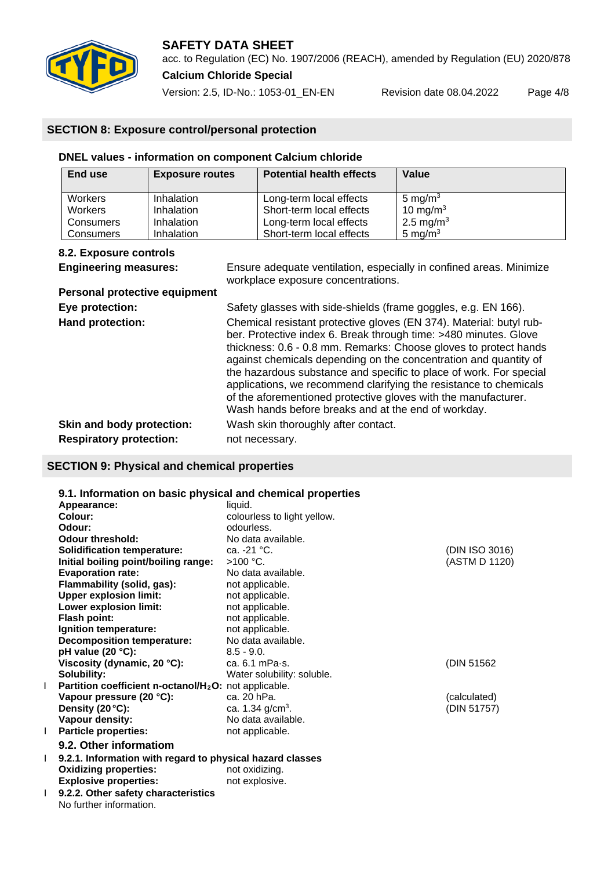

acc. to Regulation (EC) No. 1907/2006 (REACH), amended by Regulation (EU) 2020/878 **Calcium Chloride Special**

Version: 2.5, ID-No.: 1053-01\_EN-EN Revision date 08.04.2022 Page 4/8

# **SECTION 8: Exposure control/personal protection**

# **DNEL values - information on component Calcium chloride**

| End use        | <b>Exposure routes</b> | <b>Potential health effects</b> | Value                 |
|----------------|------------------------|---------------------------------|-----------------------|
| Workers        | Inhalation             | Long-term local effects         | 5 mg/m $3$            |
| <b>Workers</b> | Inhalation             | Short-term local effects        | 10 mg/m $3$           |
| Consumers      | Inhalation             | Long-term local effects         | 2.5 mg/m <sup>3</sup> |
| Consumers      | Inhalation             | Short-term local effects        | 5 mg/m $3$            |

# **8.2. Exposure controls**

**Personal protective equipment**

**Engineering measures:** Ensure adequate ventilation, especially in confined areas. Minimize workplace exposure concentrations.

| Eye protection:                | Safety glasses with side-shields (frame goggles, e.g. EN 166).                                                                                                                                                                                                                                                                                                                                                                                                                                                                                      |
|--------------------------------|-----------------------------------------------------------------------------------------------------------------------------------------------------------------------------------------------------------------------------------------------------------------------------------------------------------------------------------------------------------------------------------------------------------------------------------------------------------------------------------------------------------------------------------------------------|
| Hand protection:               | Chemical resistant protective gloves (EN 374). Material: butyl rub-<br>ber. Protective index 6. Break through time: >480 minutes. Glove<br>thickness: 0.6 - 0.8 mm. Remarks: Choose gloves to protect hands<br>against chemicals depending on the concentration and quantity of<br>the hazardous substance and specific to place of work. For special<br>applications, we recommend clarifying the resistance to chemicals<br>of the aforementioned protective gloves with the manufacturer.<br>Wash hands before breaks and at the end of workday. |
| Skin and body protection:      | Wash skin thoroughly after contact.                                                                                                                                                                                                                                                                                                                                                                                                                                                                                                                 |
| <b>Respiratory protection:</b> | not necessary.                                                                                                                                                                                                                                                                                                                                                                                                                                                                                                                                      |

# **SECTION 9: Physical and chemical properties**

|   | 9.1. Information on basic physical and chemical properties        |                             |                |
|---|-------------------------------------------------------------------|-----------------------------|----------------|
|   | Appearance:                                                       | liquid.                     |                |
|   | Colour:                                                           | colourless to light yellow. |                |
|   | Odour:                                                            | odourless.                  |                |
|   | <b>Odour threshold:</b>                                           | No data available.          |                |
|   | <b>Solidification temperature:</b>                                | ca. -21 °C.                 | (DIN ISO 3016) |
|   | Initial boiling point/boiling range:                              | $>100$ °C.                  | (ASTM D 1120)  |
|   | <b>Evaporation rate:</b>                                          | No data available.          |                |
|   | Flammability (solid, gas):                                        | not applicable.             |                |
|   | <b>Upper explosion limit:</b>                                     | not applicable.             |                |
|   | Lower explosion limit:                                            | not applicable.             |                |
|   | Flash point:                                                      | not applicable.             |                |
|   | Ignition temperature:                                             | not applicable.             |                |
|   | <b>Decomposition temperature:</b>                                 | No data available.          |                |
|   | pH value (20 $°C$ ):                                              | $8.5 - 9.0.$                |                |
|   | Viscosity (dynamic, 20 °C):                                       | ca. $6.1$ mPa $\cdot$ s.    | (DIN 51562)    |
|   | Solubility:                                                       | Water solubility: soluble.  |                |
|   | Partition coefficient n-octanol/H <sub>2</sub> O: not applicable. |                             |                |
|   | Vapour pressure (20 °C):                                          | ca. 20 hPa.                 | (calculated)   |
|   | Density (20 °C):                                                  | ca. 1.34 $g/cm3$ .          | (DIN 51757)    |
|   | Vapour density:                                                   | No data available.          |                |
| L | <b>Particle properties:</b>                                       | not applicable.             |                |
|   | 9.2. Other informatiom                                            |                             |                |
| L | 9.2.1. Information with regard to physical hazard classes         |                             |                |
|   | <b>Oxidizing properties:</b>                                      | not oxidizing.              |                |
|   | <b>Explosive properties:</b>                                      | not explosive.              |                |
| L | 9.2.2. Other safety characteristics                               |                             |                |
|   | No further information.                                           |                             |                |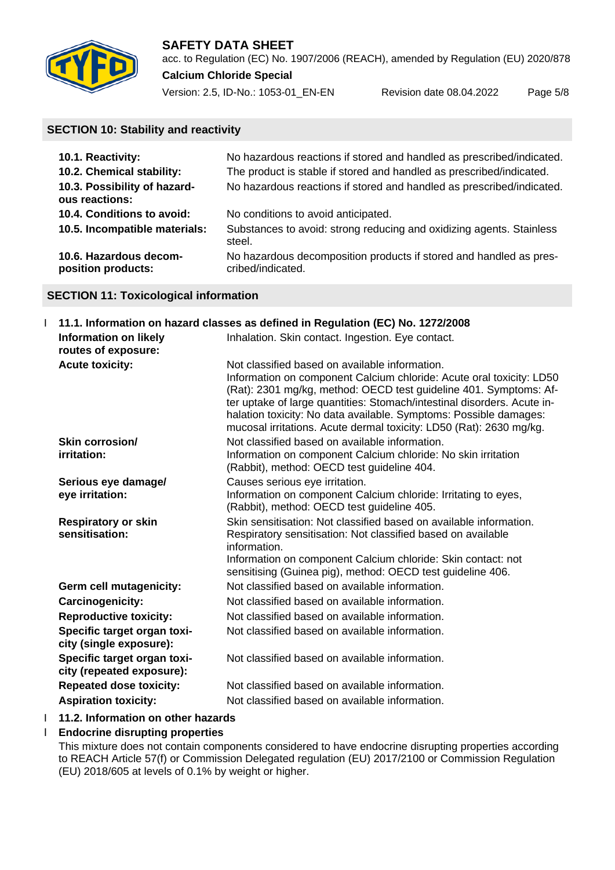

acc. to Regulation (EC) No. 1907/2006 (REACH), amended by Regulation (EU) 2020/878 **Calcium Chloride Special**

Version: 2.5, ID-No.: 1053-01\_EN-EN Revision date 08.04.2022 Page 5/8

# **SECTION 10: Stability and reactivity**

| 10.1. Reactivity:                              | No hazardous reactions if stored and handled as prescribed/indicated.                   |
|------------------------------------------------|-----------------------------------------------------------------------------------------|
| 10.2. Chemical stability:                      | The product is stable if stored and handled as prescribed/indicated.                    |
| 10.3. Possibility of hazard-<br>ous reactions: | No hazardous reactions if stored and handled as prescribed/indicated.                   |
| 10.4. Conditions to avoid:                     | No conditions to avoid anticipated.                                                     |
| 10.5. Incompatible materials:                  | Substances to avoid: strong reducing and oxidizing agents. Stainless<br>steel.          |
| 10.6. Hazardous decom-<br>position products:   | No hazardous decomposition products if stored and handled as pres-<br>cribed/indicated. |

# **SECTION 11: Toxicological information**

| 11.1. Information on hazard classes as defined in Regulation (EC) No. 1272/2008 |                                                                                                                                                                                                                                                                                                                                                                                                                    |  |
|---------------------------------------------------------------------------------|--------------------------------------------------------------------------------------------------------------------------------------------------------------------------------------------------------------------------------------------------------------------------------------------------------------------------------------------------------------------------------------------------------------------|--|
| <b>Information on likely</b><br>routes of exposure:                             | Inhalation. Skin contact. Ingestion. Eye contact.                                                                                                                                                                                                                                                                                                                                                                  |  |
| <b>Acute toxicity:</b>                                                          | Not classified based on available information.<br>Information on component Calcium chloride: Acute oral toxicity: LD50<br>(Rat): 2301 mg/kg, method: OECD test guideline 401. Symptoms: Af-<br>ter uptake of large quantities: Stomach/intestinal disorders. Acute in-<br>halation toxicity: No data available. Symptoms: Possible damages:<br>mucosal irritations. Acute dermal toxicity: LD50 (Rat): 2630 mg/kg. |  |
| Skin corrosion/<br>irritation:                                                  | Not classified based on available information.<br>Information on component Calcium chloride: No skin irritation<br>(Rabbit), method: OECD test guideline 404.                                                                                                                                                                                                                                                      |  |
| Serious eye damage/<br>eye irritation:                                          | Causes serious eye irritation.<br>Information on component Calcium chloride: Irritating to eyes,<br>(Rabbit), method: OECD test guideline 405.                                                                                                                                                                                                                                                                     |  |
| <b>Respiratory or skin</b><br>sensitisation:                                    | Skin sensitisation: Not classified based on available information.<br>Respiratory sensitisation: Not classified based on available<br>information.<br>Information on component Calcium chloride: Skin contact: not<br>sensitising (Guinea pig), method: OECD test guideline 406.                                                                                                                                   |  |
| Germ cell mutagenicity:                                                         | Not classified based on available information.                                                                                                                                                                                                                                                                                                                                                                     |  |
| Carcinogenicity:                                                                | Not classified based on available information.                                                                                                                                                                                                                                                                                                                                                                     |  |
| <b>Reproductive toxicity:</b>                                                   | Not classified based on available information.                                                                                                                                                                                                                                                                                                                                                                     |  |
| Specific target organ toxi-<br>city (single exposure):                          | Not classified based on available information.                                                                                                                                                                                                                                                                                                                                                                     |  |
| Specific target organ toxi-<br>city (repeated exposure):                        | Not classified based on available information.                                                                                                                                                                                                                                                                                                                                                                     |  |
| <b>Repeated dose toxicity:</b>                                                  | Not classified based on available information.                                                                                                                                                                                                                                                                                                                                                                     |  |
| <b>Aspiration toxicity:</b>                                                     | Not classified based on available information.                                                                                                                                                                                                                                                                                                                                                                     |  |
|                                                                                 |                                                                                                                                                                                                                                                                                                                                                                                                                    |  |

# I **11.2. Information on other hazards**

Ӏ **Endocrine disrupting properties**

This mixture does not contain components considered to have endocrine disrupting properties according to REACH Article 57(f) or Commission Delegated regulation (EU) 2017/2100 or Commission Regulation (EU) 2018/605 at levels of 0.1% by weight or higher.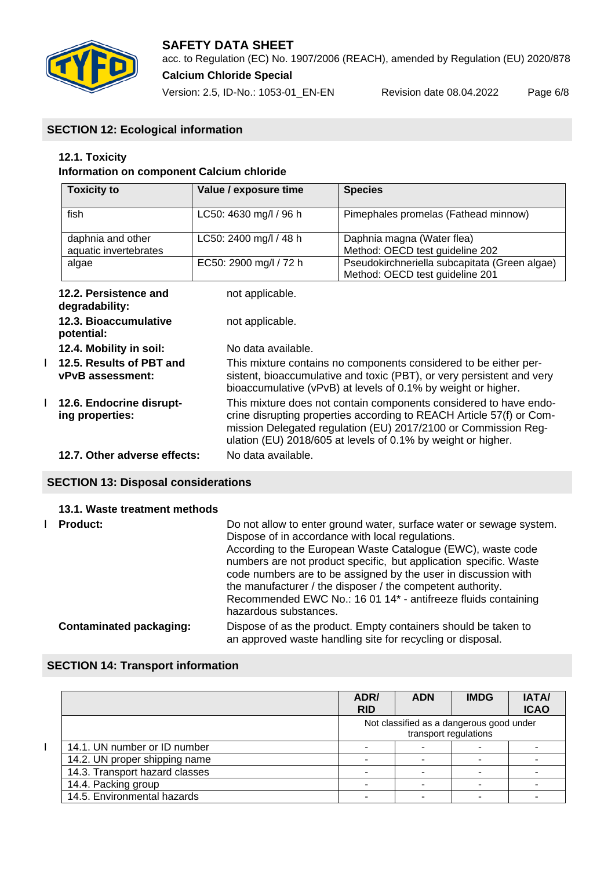

acc. to Regulation (EC) No. 1907/2006 (REACH), amended by Regulation (EU) 2020/878 **Calcium Chloride Special**

Version: 2.5, ID-No.: 1053-01\_EN-EN Revision date 08.04.2022 Page 6/8

# **SECTION 12: Ecological information**

# **12.1. Toxicity**

# **Information on component Calcium chloride**

| <b>Toxicity to</b>                           | Value / exposure time                                                                                                                                                                                                                                                       | <b>Species</b>                                                                                                                                                                                             |  |
|----------------------------------------------|-----------------------------------------------------------------------------------------------------------------------------------------------------------------------------------------------------------------------------------------------------------------------------|------------------------------------------------------------------------------------------------------------------------------------------------------------------------------------------------------------|--|
| fish                                         | LC50: 4630 mg/l / 96 h                                                                                                                                                                                                                                                      | Pimephales promelas (Fathead minnow)                                                                                                                                                                       |  |
| daphnia and other<br>aquatic invertebrates   | LC50: 2400 mg/l / 48 h                                                                                                                                                                                                                                                      | Daphnia magna (Water flea)<br>Method: OECD test guideline 202                                                                                                                                              |  |
| algae                                        | EC50: 2900 mg/l / 72 h                                                                                                                                                                                                                                                      | Pseudokirchneriella subcapitata (Green algae)<br>Method: OECD test guideline 201                                                                                                                           |  |
| 12.2. Persistence and<br>degradability:      | not applicable.                                                                                                                                                                                                                                                             |                                                                                                                                                                                                            |  |
| 12.3. Bioaccumulative<br>potential:          | not applicable.                                                                                                                                                                                                                                                             |                                                                                                                                                                                                            |  |
| 12.4. Mobility in soil:                      | No data available.                                                                                                                                                                                                                                                          |                                                                                                                                                                                                            |  |
| 12.5. Results of PBT and<br>vPvB assessment: |                                                                                                                                                                                                                                                                             | This mixture contains no components considered to be either per-<br>sistent, bioaccumulative and toxic (PBT), or very persistent and very<br>bioaccumulative (vPvB) at levels of 0.1% by weight or higher. |  |
| 12.6. Endocrine disrupt-<br>ing properties:  | This mixture does not contain components considered to have endo-<br>crine disrupting properties according to REACH Article 57(f) or Com-<br>mission Delegated regulation (EU) 2017/2100 or Commission Reg-<br>ulation (EU) 2018/605 at levels of 0.1% by weight or higher. |                                                                                                                                                                                                            |  |
| 12.7. Other adverse effects:                 | No data available.                                                                                                                                                                                                                                                          |                                                                                                                                                                                                            |  |

# **SECTION 13: Disposal considerations**

# **13.1. Waste treatment methods**

| <b>Product:</b>                | Do not allow to enter ground water, surface water or sewage system.<br>Dispose of in accordance with local regulations.<br>According to the European Waste Catalogue (EWC), waste code<br>numbers are not product specific, but application specific. Waste<br>code numbers are to be assigned by the user in discussion with<br>the manufacturer / the disposer / the competent authority.<br>Recommended EWC No.: 16 01 14* - antifreeze fluids containing<br>hazardous substances. |
|--------------------------------|---------------------------------------------------------------------------------------------------------------------------------------------------------------------------------------------------------------------------------------------------------------------------------------------------------------------------------------------------------------------------------------------------------------------------------------------------------------------------------------|
| <b>Contaminated packaging:</b> | Dispose of as the product. Empty containers should be taken to<br>an approved waste handling site for recycling or disposal.                                                                                                                                                                                                                                                                                                                                                          |

# **SECTION 14: Transport information**

 $\overline{1}$ 

|                                | ADR/<br><b>RID</b> | <b>ADN</b>                                                        | <b>IMDG</b> | <b>IATA/</b><br><b>ICAO</b> |
|--------------------------------|--------------------|-------------------------------------------------------------------|-------------|-----------------------------|
|                                |                    | Not classified as a dangerous good under<br>transport regulations |             |                             |
| 14.1. UN number or ID number   |                    |                                                                   |             |                             |
| 14.2. UN proper shipping name  |                    |                                                                   |             |                             |
| 14.3. Transport hazard classes |                    |                                                                   |             |                             |
| 14.4. Packing group            |                    |                                                                   |             |                             |
| 14.5. Environmental hazards    |                    |                                                                   |             |                             |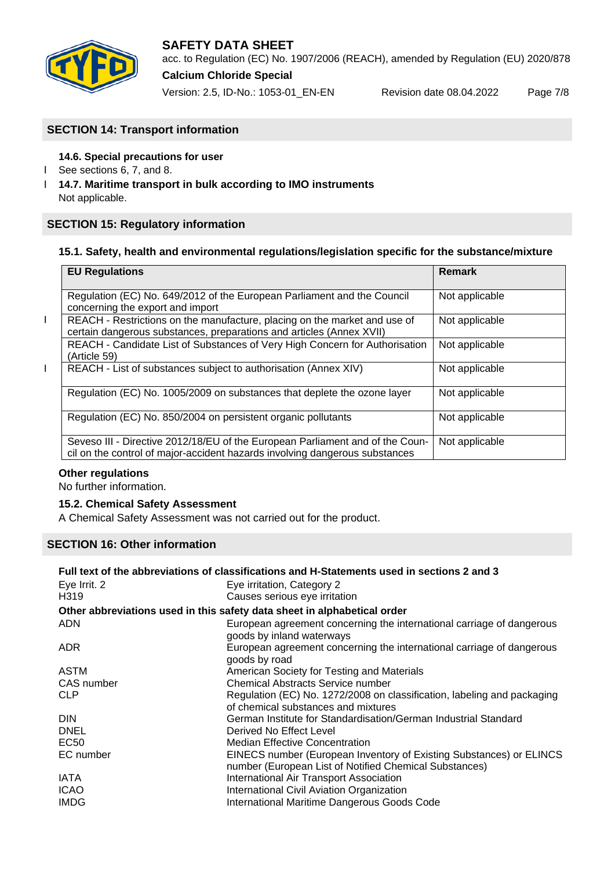

# **SAFETY DATA SHEET** acc. to Regulation (EC) No. 1907/2006 (REACH), amended by Regulation (EU) 2020/878

**Calcium Chloride Special**

Version: 2.5, ID-No.: 1053-01\_EN-EN Revision date 08.04.2022 Page 7/8

# **SECTION 14: Transport information**

# **14.6. Special precautions for user**

- Ӏ See sections 6, 7, and 8.
- Ӏ **14.7. Maritime transport in bulk according to IMO instruments** Not applicable.

# **SECTION 15: Regulatory information**

## **15.1. Safety, health and environmental regulations/legislation specific for the substance/mixture**

|   | <b>EU Regulations</b>                                                                                                                                        | <b>Remark</b>  |
|---|--------------------------------------------------------------------------------------------------------------------------------------------------------------|----------------|
|   | Regulation (EC) No. 649/2012 of the European Parliament and the Council<br>concerning the export and import                                                  | Not applicable |
| L | REACH - Restrictions on the manufacture, placing on the market and use of<br>certain dangerous substances, preparations and articles (Annex XVII)            | Not applicable |
|   | REACH - Candidate List of Substances of Very High Concern for Authorisation<br>(Article 59)                                                                  | Not applicable |
| L | REACH - List of substances subject to authorisation (Annex XIV)                                                                                              | Not applicable |
|   | Regulation (EC) No. 1005/2009 on substances that deplete the ozone layer                                                                                     | Not applicable |
|   | Regulation (EC) No. 850/2004 on persistent organic pollutants                                                                                                | Not applicable |
|   | Seveso III - Directive 2012/18/EU of the European Parliament and of the Coun-<br>cil on the control of major-accident hazards involving dangerous substances | Not applicable |

## **Other regulations**

No further information.

## **15.2. Chemical Safety Assessment**

A Chemical Safety Assessment was not carried out for the product.

# **SECTION 16: Other information**

| Full text of the abbreviations of classifications and H-Statements used in sections 2 and 3 |                                                                                                                               |  |  |  |
|---------------------------------------------------------------------------------------------|-------------------------------------------------------------------------------------------------------------------------------|--|--|--|
| Eye Irrit. 2                                                                                | Eye irritation, Category 2                                                                                                    |  |  |  |
| H <sub>3</sub> 19                                                                           | Causes serious eye irritation                                                                                                 |  |  |  |
|                                                                                             | Other abbreviations used in this safety data sheet in alphabetical order                                                      |  |  |  |
| <b>ADN</b>                                                                                  | European agreement concerning the international carriage of dangerous<br>goods by inland waterways                            |  |  |  |
| <b>ADR</b>                                                                                  | European agreement concerning the international carriage of dangerous<br>goods by road                                        |  |  |  |
| ASTM                                                                                        | American Society for Testing and Materials                                                                                    |  |  |  |
| CAS number                                                                                  | <b>Chemical Abstracts Service number</b>                                                                                      |  |  |  |
| <b>CLP</b>                                                                                  | Regulation (EC) No. 1272/2008 on classification, labeling and packaging<br>of chemical substances and mixtures                |  |  |  |
| <b>DIN</b>                                                                                  | German Institute for Standardisation/German Industrial Standard                                                               |  |  |  |
| <b>DNEL</b>                                                                                 | Derived No Effect Level                                                                                                       |  |  |  |
| EC50                                                                                        | <b>Median Effective Concentration</b>                                                                                         |  |  |  |
| EC number                                                                                   | EINECS number (European Inventory of Existing Substances) or ELINCS<br>number (European List of Notified Chemical Substances) |  |  |  |
| <b>IATA</b>                                                                                 | International Air Transport Association                                                                                       |  |  |  |
| <b>ICAO</b>                                                                                 | International Civil Aviation Organization                                                                                     |  |  |  |
| <b>IMDG</b>                                                                                 | International Maritime Dangerous Goods Code                                                                                   |  |  |  |